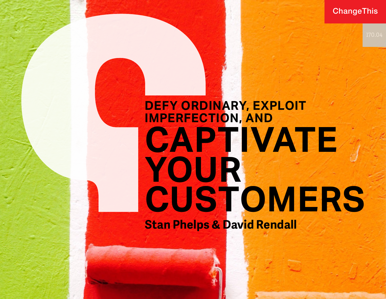#### **ChangeThis**

# **DEFY ORDINARY, EXPLOIT IMPERFECTION, AND CAPTIVATE YOUR CUSTOMERS**

**Stan Phelps & David Rendall**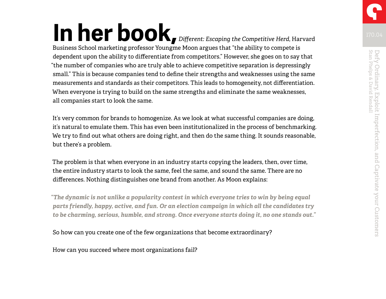**In her book,** *Different: Escaping the Competitive Herd*, Harvard Business School marketing professor Youngme Moon argues that "the ability to compete is dependent upon the ability to differentiate from competitors." However, she goes on to say that "the number of companies who are truly able to achieve competitive separation is depressingly small." This is because companies tend to define their strengths and weaknesses using the same measurements and standards as their competitors. This leads to homogeneity, not differentiation. When everyone is trying to build on the same strengths and eliminate the same weaknesses, all companies start to look the same.

It's very common for brands to homogenize. As we look at what successful companies are doing, it's natural to emulate them. This has even been institutionalized in the process of benchmarking. We try to find out what others are doing right, and then do the same thing. It sounds reasonable, but there's a problem.

The problem is that when everyone in an industry starts copying the leaders, then, over time, the entire industry starts to look the same, feel the same, and sound the same. There are no differences. Nothing distinguishes one brand from another. As Moon explains:

*"The dynamic is not unlike a popularity contest in which everyone tries to win by being equal parts friendly, happy, active, and fun. Or an election campaign in which all the candidates try to be charming, serious, humble, and strong. Once everyone starts doing it, no one stands out."*

So how can you create one of the few organizations that become extraordinary?

How can you succeed where most organizations fail?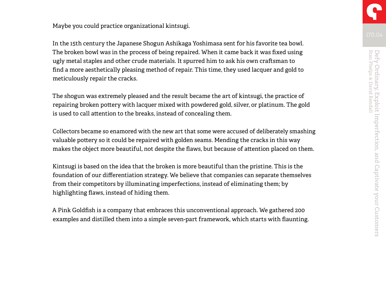Maybe you could practice organizational kintsugi.

In the 15th century the Japanese Shogun Ashikaga Yoshimasa sent for his favorite tea bowl. The broken bowl was in the process of being repaired. When it came back it was fixed using ugly metal staples and other crude materials. It spurred him to ask his own craftsman to find a more aesthetically pleasing method of repair. This time, they used lacquer and gold to meticulously repair the cracks.

The shogun was extremely pleased and the result became the art of kintsugi, the practice of repairing broken pottery with lacquer mixed with powdered gold, silver, or platinum. The gold is used to call attention to the breaks, instead of concealing them.

Collectors became so enamored with the new art that some were accused of deliberately smashing valuable pottery so it could be repaired with golden seams. Mending the cracks in this way makes the object more beautiful, not despite the flaws, but because of attention placed on them.

Kintsugi is based on the idea that the broken is more beautiful than the pristine. This is the foundation of our differentiation strategy. We believe that companies can separate themselves from their competitors by illuminating imperfections, instead of eliminating them; by highlighting flaws, instead of hiding them.

A Pink Goldfish is a company that embraces this unconventional approach. We gathered 200 examples and distilled them into a simple seven-part framework, which starts with flaunting.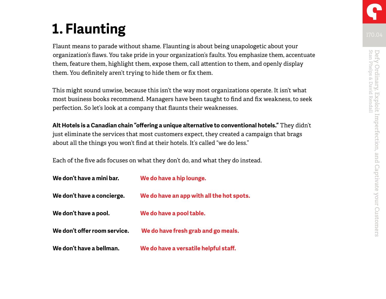## **1. Flaunting**

Flaunt means to parade without shame. Flaunting is about being unapologetic about your organization's flaws. You take pride in your organization's faults. You emphasize them, accentuate them, feature them, highlight them, expose them, call attention to them, and openly display them. You definitely aren't trying to hide them or fix them.

This might sound unwise, because this isn't the way most organizations operate. It isn't what most business books recommend. Managers have been taught to find and fix weakness, to seek perfection. So let's look at a company that flaunts their weaknesses.

**Alt Hotels is a Canadian chain "offering a unique alternative to conventional hotels."** They didn't just eliminate the services that most customers expect, they created a campaign that brags about all the things you won't find at their hotels. It's called "we do less."

Each of the five ads focuses on what they don't do, and what they do instead.

| We don't have a mini bar.    | We do have a hip lounge.                  |
|------------------------------|-------------------------------------------|
| We don't have a concierge.   | We do have an app with all the hot spots. |
| We don't have a pool.        | We do have a pool table.                  |
| We don't offer room service. | We do have fresh grab and go meals.       |
| We don't have a bellman.     | We do have a versatile helpful staff.     |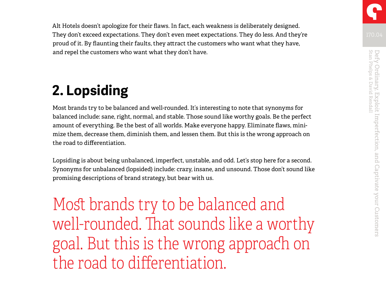Alt Hotels doesn't apologize for their flaws. In fact, each weakness is deliberately designed. They don't exceed expectations. They don't even meet expectations. They do less. And they're proud of it. By flaunting their faults, they attract the customers who want what they have, and repel the customers who want what they don't have.

# **2. Lopsiding**

Most brands try to be balanced and well-rounded. It's interesting to note that synonyms for balanced include: sane, right, normal, and stable. Those sound like worthy goals. Be the perfect amount of everything. Be the best of all worlds. Make everyone happy. Eliminate flaws, minimize them, decrease them, diminish them, and lessen them. But this is the wrong approach on the road to differentiation.

Lopsiding is about being unbalanced, imperfect, unstable, and odd. Let's stop here for a second. Synonyms for unbalanced (lopsided) include: crazy, insane, and unsound. Those don't sound like promising descriptions of brand strategy, but bear with us.

Most brands try to be balanced and well-rounded. That sounds like a worthy goal. But this is the wrong approach on the road to differentiation.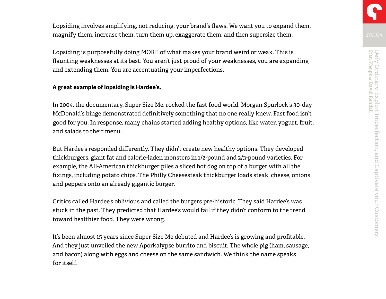Lopsiding involves amplifying, not reducing, your brand's flaws. We want you to expand them, magnify them, increase them, turn them up, exaggerate them, and then supersize them.

Lopsiding is purposefully doing MORE of what makes your brand weird or weak. This is flaunting weaknesses at its best. You aren't just proud of your weaknesses, you are expanding and extending them. You are accentuating your imperfections.

#### **A great example of lopsiding is Hardee's.**

In 2004, the documentary, Super Size Me, rocked the fast food world. Morgan Spurlock's 30-day McDonald's binge demonstrated definitively something that no one really knew. Fast food isn't good for you. In response, many chains started adding healthy options, like water, yogurt, fruit, and salads to their menu.

But Hardee's responded differently. They didn't create new healthy options. They developed thickburgers, giant fat and calorie-laden monsters in 1/2-pound and 2/3-pound varieties. For example, the All-American thickburger piles a sliced hot dog on top of a burger with all the fixings, including potato chips. The Philly Cheesesteak thickburger loads steak, cheese, onions and peppers onto an already gigantic burger.

Critics called Hardee's oblivious and called the burgers pre-historic. They said Hardee's was stuck in the past. They predicted that Hardee's would fail if they didn't conform to the trend toward healthier food. They were wrong.

It's been almost 15 years since Super Size Me debuted and Hardee's is growing and profitable. And they just unveiled the new Aporkalypse burrito and biscuit. The whole pig (ham, sausage, and bacon) along with eggs and cheese on the same sandwich. We think the name speaks for itself.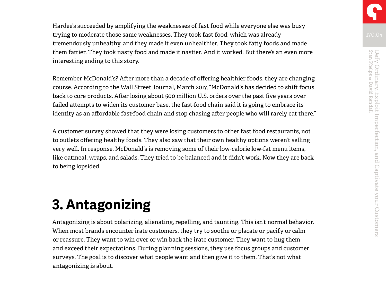Hardee's succeeded by amplifying the weaknesses of fast food while everyone else was busy trying to moderate those same weaknesses. They took fast food, which was already tremendously unhealthy, and they made it even unhealthier. They took fatty foods and made them fattier. They took nasty food and made it nastier. And it worked. But there's an even more interesting ending to this story.

Remember McDonald's? After more than a decade of offering healthier foods, they are changing course. According to the Wall Street Journal, March 2017, "McDonald's has decided to shift focus back to core products. After losing about 500 million U.S. orders over the past five years over failed attempts to widen its customer base, the fast-food chain said it is going to embrace its identity as an affordable fast-food chain and stop chasing after people who will rarely eat there."

A customer survey showed that they were losing customers to other fast food restaurants, not to outlets offering healthy foods. They also saw that their own healthy options weren't selling very well. In response, McDonald's is removing some of their low-calorie low-fat menu items, like oatmeal, wraps, and salads. They tried to be balanced and it didn't work. Now they are back to being lopsided.

### **3. Antagonizing**

Antagonizing is about polarizing, alienating, repelling, and taunting. This isn't normal behavior. When most brands encounter irate customers, they try to soothe or placate or pacify or calm or reassure. They want to win over or win back the irate customer. They want to hug them and exceed their expectations. During planning sessions, they use focus groups and customer surveys. The goal is to discover what people want and then give it to them. That's not what antagonizing is about.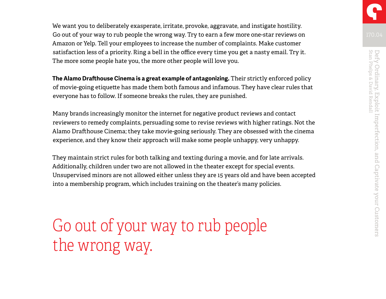We want you to deliberately exasperate, irritate, provoke, aggravate, and instigate hostility. Go out of your way to rub people the wrong way. Try to earn a few more one-star reviews on Amazon or Yelp. Tell your employees to increase the number of complaints. Make customer satisfaction less of a priority. Ring a bell in the office every time you get a nasty email. Try it. The more some people hate you, the more other people will love you.

**The Alamo Drafthouse Cinema is a great example of antagonizing.** Their strictly enforced policy of movie-going etiquette has made them both famous and infamous. They have clear rules that everyone has to follow. If someone breaks the rules, they are punished.

Many brands increasingly monitor the internet for negative product reviews and contact reviewers to remedy complaints, persuading some to revise reviews with higher ratings. Not the Alamo Drafthouse Cinema; they take movie-going seriously. They are obsessed with the cinema experience, and they know their approach will make some people unhappy, very unhappy.

They maintain strict rules for both talking and texting during a movie, and for late arrivals. Additionally, children under two are not allowed in the theater except for special events. Unsupervised minors are not allowed either unless they are 15 years old and have been accepted into a membership program, which includes training on the theater's many policies.

Go out of your way to rub people the wrong way.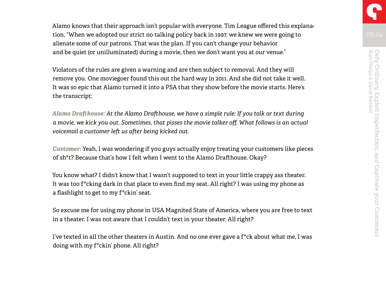Alamo knows that their approach isn't popular with everyone. Tim League offered this explanation, "When we adopted our strict no talking policy back in 1997, we knew we were going to alienate some of our patrons. That was the plan. If you can't change your behavior and be quiet (or unilluminated) during a movie, then we don't want you at our venue."

Violators of the rules are given a warning and are then subject to removal. And they will remove you. One moviegoer found this out the hard way in 2011. And she did not take it well. It was so epic that Alamo turned it into a PSA that they show before the movie starts. Here's the transcript:

*Alamo Drafthouse: At the Alamo Drafthouse, we have a simple rule: If you talk or text during a movie, we kick you out. Sometimes, that pisses the movie talker off. What follows is an actual voicemail a customer left us after being kicked out.*

*Customer:* Yeah, I was wondering if you guys actually enjoy treating your customers like pieces of sh\*t? Because that's how I felt when I went to the Alamo Drafthouse. Okay?

You know what? I didn't know that I wasn't supposed to text in your little crappy ass theater. It was too f\*cking dark in that place to even find my seat. All right? I was using my phone as a flashlight to get to my f\*ckin' seat.

So excuse me for using my phone in USA Magnited State of America, where you are free to text in a theater. I was not aware that I couldn't text in your theater. All right?

I've texted in all the other theaters in Austin. And no one ever gave a f\*ck about what me, I was doing with my f\*ckin' phone. All right?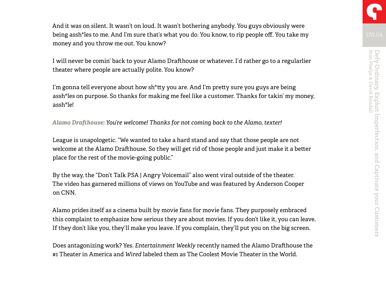And it was on silent. It wasn't on loud. It wasn't bothering anybody. You guys obviously were being assh\*les to me. And I'm sure that's what you do. You know, to rip people off. You take my money and you throw me out. You know?

I will never be comin' back to your Alamo Drafthouse or whatever. I'd rather go to a regularlier theater where people are actually polite. You know?

I'm gonna tell everyone about how sh\*tty you are. And I'm pretty sure you guys are being assh\*les on purpose. So thanks for making me feel like a customer. Thanks for takin' my money, assh\*le!

*Alamo Drafthouse: You're welcome! Thanks for not coming back to the Alamo, texter!*

League is unapologetic. "We wanted to take a hard stand and say that those people are not welcome at the Alamo Drafthouse. So they will get rid of those people and just make it a better place for the rest of the movie-going public."

By the way, the "Don't Talk PSA | Angry Voicemail" also went viral outside of the theater. The video has garnered millions of views on YouTube and was featured by Anderson Cooper on CNN.

Alamo prides itself as a cinema built by movie fans for movie fans. They purposely embraced this complaint to emphasize how serious they are about movies. If you don't like it, you can leave. If they don't like you, they'll make you leave. If you complain, they'll put you on the big screen.

Does antagonizing work? Yes. *Entertainment Weekly* recently named the Alamo Drafthouse the #1 Theater in America and *Wired* labeled them as The Coolest Movie Theater in the World.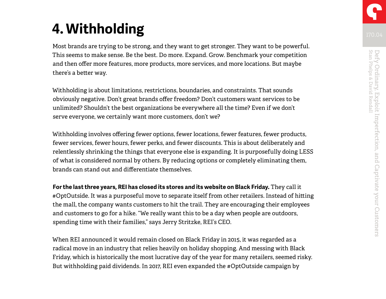## **4. Withholding**

Most brands are trying to be strong, and they want to get stronger. They want to be powerful. This seems to make sense. Be the best. Do more. Expand. Grow. Benchmark your competition and then offer more features, more products, more services, and more locations. But maybe there's a better way.

Withholding is about limitations, restrictions, boundaries, and constraints. That sounds obviously negative. Don't great brands offer freedom? Don't customers want services to be unlimited? Shouldn't the best organizations be everywhere all the time? Even if we don't serve everyone, we certainly want more customers, don't we?

Withholding involves offering fewer options, fewer locations, fewer features, fewer products, fewer services, fewer hours, fewer perks, and fewer discounts. This is about deliberately and relentlessly shrinking the things that everyone else is expanding. It is purposefully doing LESS of what is considered normal by others. By reducing options or completely eliminating them, brands can stand out and differentiate themselves.

**For the last three years, REI has closed its stores and its website on Black Friday.** They call it #OptOutside. It was a purposeful move to separate itself from other retailers. Instead of hitting the mall, the company wants customers to hit the trail. They are encouraging their employees and customers to go for a hike. "We really want this to be a day when people are outdoors, spending time with their families," says Jerry Stritzke, REI's CEO.

When REI announced it would remain closed on Black Friday in 2015, it was regarded as a radical move in an industry that relies heavily on holiday shopping. And messing with Black Friday, which is historically the most lucrative day of the year for many retailers, seemed risky. But withholding paid dividends. In 2017, REI even expanded the #OptOutside campaign by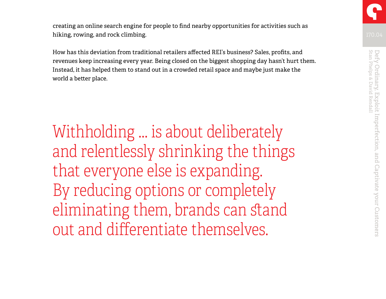creating an online search engine for people to find nearby opportunities for activities such as hiking, rowing, and rock climbing.

How has this deviation from traditional retailers affected REI's business? Sales, profits, and revenues keep increasing every year. Being closed on the biggest shopping day hasn't hurt them. Instead, it has helped them to stand out in a crowded retail space and maybe just make the world a better place.

Withholding … is about deliberately and relentlessly shrinking the things that everyone else is expanding. By reducing options or completely eliminating them, brands can stand out and differentiate themselves.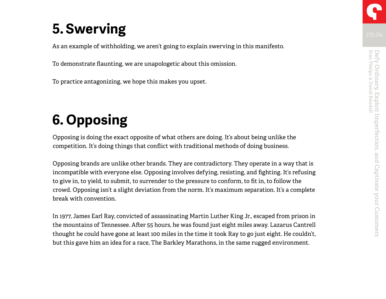### **5. Swerving**

As an example of withholding, we aren't going to explain swerving in this manifesto.

To demonstrate flaunting, we are unapologetic about this omission.

To practice antagonizing, we hope this makes you upset.

### **6. Opposing**

Opposing is doing the exact opposite of what others are doing. It's about being unlike the competition. It's doing things that conflict with traditional methods of doing business.

Opposing brands are unlike other brands. They are contradictory. They operate in a way that is incompatible with everyone else. Opposing involves defying, resisting, and fighting. It's refusing to give in, to yield, to submit, to surrender to the pressure to conform, to fit in, to follow the crowd. Opposing isn't a slight deviation from the norm. It's maximum separation. It's a complete break with convention.

In 1977, James Earl Ray, convicted of assassinating Martin Luther King Jr., escaped from prison in the mountains of Tennessee. After 55 hours, he was found just eight miles away. Lazarus Cantrell thought he could have gone at least 100 miles in the time it took Ray to go just eight. He couldn't, but this gave him an idea for a race, The Barkley Marathons, in the same rugged environment.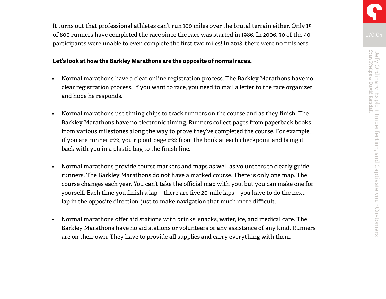It turns out that professional athletes can't run 100 miles over the brutal terrain either. Only 15 of 800 runners have completed the race since the race was started in 1986. In 2006, 30 of the 40 participants were unable to even complete the first two miles! In 2018, there were no finishers.

#### **Let's look at how the Barkley Marathons are the opposite of normal races.**

- Normal marathons have a clear online registration process. The Barkley Marathons have no clear registration process. If you want to race, you need to mail a letter to the race organizer and hope he responds.
- Normal marathons use timing chips to track runners on the course and as they finish. The Barkley Marathons have no electronic timing. Runners collect pages from paperback books from various milestones along the way to prove they've completed the course. For example, if you are runner #22, you rip out page #22 from the book at each checkpoint and bring it back with you in a plastic bag to the finish line.
- Normal marathons provide course markers and maps as well as volunteers to clearly guide runners. The Barkley Marathons do not have a marked course. There is only one map. The course changes each year. You can't take the official map with you, but you can make one for yourself. Each time you finish a lap—there are five 20-mile laps—you have to do the next lap in the opposite direction, just to make navigation that much more difficult.
- Normal marathons offer aid stations with drinks, snacks, water, ice, and medical care. The Barkley Marathons have no aid stations or volunteers or any assistance of any kind. Runners are on their own. They have to provide all supplies and carry everything with them.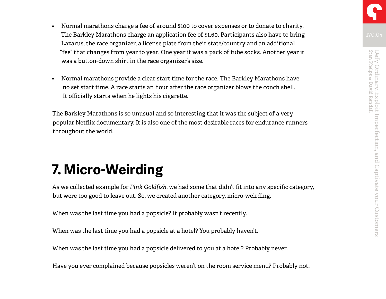- Normal marathons charge a fee of around \$100 to cover expenses or to donate to charity. The Barkley Marathons charge an application fee of \$1.60. Participants also have to bring Lazarus, the race organizer, a license plate from their state/country and an additional "fee" that changes from year to year. One year it was a pack of tube socks. Another year it was a button-down shirt in the race organizer's size.
- Normal marathons provide a clear start time for the race. The Barkley Marathons have no set start time. A race starts an hour after the race organizer blows the conch shell. It officially starts when he lights his cigarette.

The Barkley Marathons is so unusual and so interesting that it was the subject of a very popular Netflix documentary. It is also one of the most desirable races for endurance runners throughout the world.

### **7. Micro-Weirding**

As we collected example for *Pink Goldfish*, we had some that didn't fit into any specific category, but were too good to leave out. So, we created another category, micro-weirding.

When was the last time you had a popsicle? It probably wasn't recently.

When was the last time you had a popsicle at a hotel? You probably haven't.

When was the last time you had a popsicle delivered to you at a hotel? Probably never.

Have you ever complained because popsicles weren't on the room service menu? Probably not.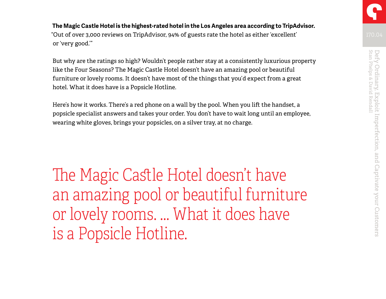**The Magic Castle Hotel is the highest-rated hotel in the Los Angeles area according to TripAdvisor.**  "Out of over 3,000 reviews on TripAdvisor, 94% of guests rate the hotel as either 'excellent' or 'very good.'"

But why are the ratings so high? Wouldn't people rather stay at a consistently luxurious property like the Four Seasons? The Magic Castle Hotel doesn't have an amazing pool or beautiful furniture or lovely rooms. It doesn't have most of the things that you'd expect from a great hotel. What it does have is a Popsicle Hotline.

Here's how it works. There's a red phone on a wall by the pool. When you lift the handset, a popsicle specialist answers and takes your order. You don't have to wait long until an employee, wearing white gloves, brings your popsicles, on a silver tray, at no charge.

The Magic Castle Hotel doesn't have an amazing pool or beautiful furniture or lovely rooms. … What it does have is a Popsicle Hotline.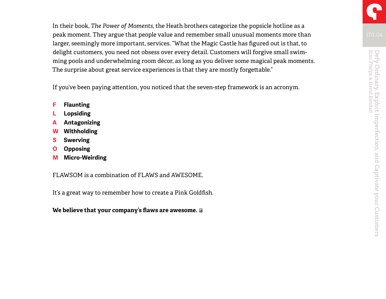In their book, *The Power of Moments*, the Heath brothers categorize the popsicle hotline as a peak moment. They argue that people value and remember small unusual moments more than larger, seemingly more important, services. "What the Magic Castle has figured out is that, to delight customers, you need not obsess over every detail. Customers will forgive small swimming pools and underwhelming room décor, as long as you deliver some magical peak moments. The surprise about great service experiences is that they are mostly forgettable."

If you've been paying attention, you noticed that the seven-step framework is an acronym.

- **F Flaunting**
- **L Lopsiding**
- **A Antagonizing**
- **W Withholding**
- **S Swerving**
- **O Opposing**
- **M Micro-Weirding**

FLAWSOM is a combination of FLAWS and AWESOME.

It's a great way to remember how to create a Pink Goldfish.

**We believe that your company's flaws are awesome.**